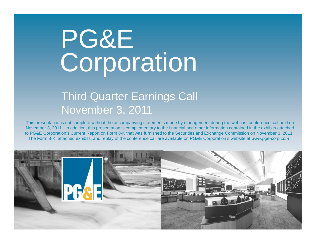# PG&E Corporation

### Third Quarter Earnings Call November 3, 2011

This presentation is not complete without the accompanying statements made by management during the webcast conference call held on November 3, 2011. In addition, this presentation is complementary to the financial and other information contained in the exhibits attached to PG&E Corporation's Current Report on Form 8-K that was furnished to the Securities and Exchange Commission on November 3, 2011. The Form 8-K, attached exhibits, and replay of the conference call are available on PG&E Corporation's website at *www.pge-corp.com* 

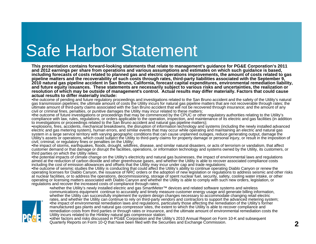### Safe Harbor Statement

**This presentation contains forward-looking statements that relate to management's guidance for PG&E Corporation's 2011 and 2012 earnings per share from operations and various assumptions and estimates on which such guidance is based, including forecasts of costs related to planned gas and electric operations improvements, the amount of costs related to gas pipeline matters and the recoverability of such costs through rates, third-party liabilities associated with the September 9, 2010 natural gas pipeline accident in San Bruno, California, forecast capital expenditures, environmental remediation liability, and future equity issuances. These statements are necessarily subject to various risks and uncertainties, the realization or resolution of which may be outside of management's control. Actual results may differ materially. Factors that could cause actual results to differ materially include:**

•the outcome of pending and future regulatory proceedings and investigations related to the San Bruno accident and the safety of the Utility's natural gas transmission pipelines; the ultimate amount of costs the Utility incurs for natural gas pipeline matters that are not recoverable through rates; the ultimate amount of third-party claims associated with the San Bruno accident that will not be recovered through insurance; and the amount of any civil or criminal fines, penalties, or punitive damages the Utility may incur related to these matters;

•the outcome of future investigations or proceedings that may be commenced by the CPUC or other regulatory authorities relating to the Utility's compliance with law, rules, regulations, or orders applicable to the operation, inspection, and maintenance of its electric and gas facilities (in addition to investigations or proceedings related to the San Bruno accident and natural gas pipeline matters);

•explosions, fires, accidents, mechanical breakdowns, the disruption of information technology and systems (including the newly installed advanced electric and gas metering system), human errors, and similar events that may occur while operating and maintaining an electric and natural gas system in a large service territory with varying geographic conditions that can cause unplanned outages, reduce generating output, damage the Utility's assets or operations, which could subject the Utility to third-party claims for property damage or personal injury, or result in the imposition of civil, criminal, or regulatory fines or penalties on the Utility;

•the impact of storms, earthquakes, floods, drought, wildfires, disease, and similar natural disasters, or acts of terrorism or vandalism, that affect customer demand or that damage or disrupt the facilities, operations, or information technology and systems owned by the Utility, its customers, or third parties on which the Utility relies;

•the potential impacts of climate change on the Utility's electricity and natural gas businesses, the impact of environmental laws and regulations aimed at the reduction of carbon dioxide and other greenhouse gases, and whether the Utility is able to recover associated compliance costs including the cost of emission allowances and offsets that the Utility may incur under cap and trade regulations;

•the outcome of seismic studies the Utility is conducting that could affect the Utility's ability to continue operating Diablo Canyon or renew the operating licenses for Diablo Canyon, the issuance of NRC orders or the adoption of new legislation or regulations to address seismic and other risks at nuclear facilities, or to address the operations, decommissioning, storage of spent nuclear fuel, security, safety, cooling water intake, or other operating or licensing matters associated with Diablo Canyon and whether the Utility is able to comply with such new orders, legislation, or regulations and recover the increased costs of compliance through rates;



•whether the Utility's newly installed electric and gas SmartMeter™ devices and related software systems and wireless communications equipment continue to accurately and timely measure customer energy usage and generate billing information, whether the Utility can successfully implement the system design changes necessary to accommodate changing retail electric rates, and whether the Utility can continue to rely on third-party vendors and contractors to support the advanced metering system; •the impact of environmental remediation laws and regulations, particularly those affecting the remediation of the Utility's former manufactured gas plants and natural gas compressor sites, the extent to which the Utility is able to recover compliance and remediation costs from third parties or through rates or insurance, and the ultimate amount of environmental remediation costs the Utility incurs related to the Hinkley natural gas compressor station;

•other factors and risks discussed in PG&E Corporation and the Utility's 2010 Annual Report on Form 10-K and subsequent Quarterly Reports on Form 10-Q that have been filed with the Securities and Exchange Commission.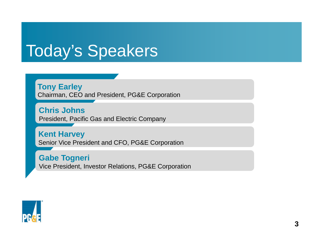### Today's Speakers

**Tony Earley** Chairman, CEO and President, PG&E Corporation

**Chris Johns**President, Pacific Gas and Electric Company

**Kent Harvey**  Senior Vice President and CFO, PG&E Corporation

**Gabe Togneri**  Vice President, Investor Relations, PG&E Corporation

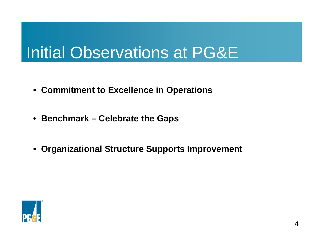# Initial Observations at PG&E

- **Commitment to Excellence in Operations**
- **Benchmark – Celebrate the Gaps**
- **Organizational Structure Supports Improvement**

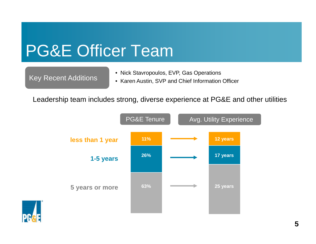### PG&E Officer Team

- Key Recent Additions Nick Stavropoulos, EVP, Gas Operations<br>Key Recent Additions Karen Austin, SVP and Chief Information
	- Karen Austin, SVP and Chief Information Officer

Leadership team includes strong, diverse experience at PG&E and other utilities



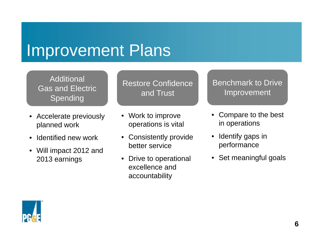### Improvement Plans

Additional Gas and Electric Spending

- Accelerate previously planned work
- Identified new work
- Will impact 2012 and 2013 earnings

Restore Confidence and Trust

- Work to improve operations is vital
- Consistently provide better service
- Drive to operational excellence and accountability

Benchmark to Drive Improvement

- • Compare to the best in operations
- $\bullet$  Identify gaps in performance
- Set meaningful goals

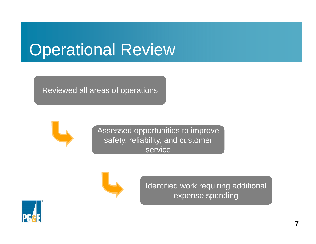### Operational Review

Reviewed all areas of operations



Assessed opportunities to improve safety, reliability, and customer service



Identified work requiring additional expense spending

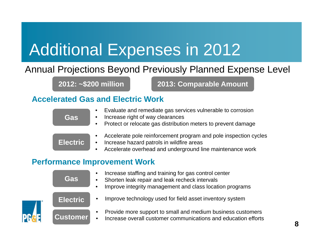# Additional Expenses in 2012

### Annual Projections Beyond Previously Planned Expense Level

**2012: ~\$200 million 2013: Comparable Amount**

#### **Accelerated Gas and Electric Work**

| Gas |  |
|-----|--|

- •Evaluate and remediate gas services vulnerable to corrosion
- •Increase right of way clearances
- •Protect or relocate gas distribution meters to prevent damage

**Electric**

- •Accelerate pole reinforcement program and pole inspection cycles
- $\bullet$ Increase hazard patrols in wildfire areas
- •Accelerate overhead and underground line maintenance work

#### **Performance Improvement Work**

| <b>Gas</b>      | Increase staffing and training for gas control center<br>$\bullet$<br>Shorten leak repair and leak recheck intervals<br>$\bullet$<br>Improve integrity management and class location programs<br>$\bullet$ |
|-----------------|------------------------------------------------------------------------------------------------------------------------------------------------------------------------------------------------------------|
| <b>Electric</b> | Improve technology used for field asset inventory system                                                                                                                                                   |
| <b>Customer</b> | Provide more support to small and medium business customers<br>$\bullet$<br>Increase overall customer communications and education efforts                                                                 |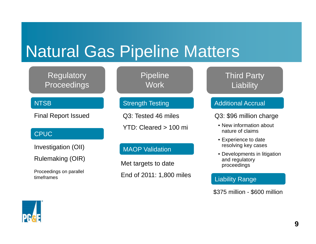### Natural Gas Pipeline Matters

#### **Regulatory Proceedings**

#### **NTSB**

Final Report Issued

#### CPUC

Investigation (OII)

Rulemaking (OIR)

Proceedings on parallel timeframes

**Pipeline Work** 

#### Strength Testing

Q3: Tested 46 miles

YTD: Cleared > 100 mi

#### MAOP Validation

Met targets to date End of 2011: 1,800 miles Third Party **Liability** 

#### Additional Accrual

Q3: \$96 million charge

- New information about nature of claims
- Experience to date resolving key cases
- Developments in litigation and regulatory proceedings

#### Liability Range

\$375 million - \$600 million

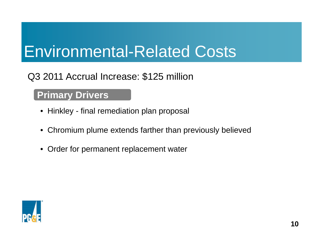### Environmental-Related Costs

### Q3 2011 Accrual Increase: \$125 million

#### **Primary Drivers**

- Hinkley final remediation plan proposal
- Chromium plume extends farther than previously believed
- Order for permanent replacement water

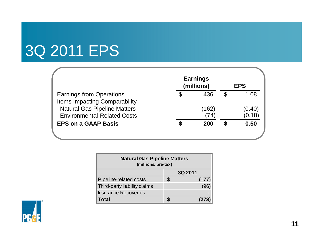### 3Q 2011 EPS

|                                      |   | <b>Earnings</b><br>(millions) |   | <b>EPS</b> |
|--------------------------------------|---|-------------------------------|---|------------|
| <b>Earnings from Operations</b>      | S | 436                           | S | 1.08       |
| <b>Items Impacting Comparability</b> |   |                               |   |            |
| <b>Natural Gas Pipeline Matters</b>  |   | (162)                         |   | (0.40      |
| <b>Environmental-Related Costs</b>   |   | (74                           |   | (0.18)     |
| <b>EPS on a GAAP Basis</b>           |   | 200                           |   | 0.50       |
|                                      |   |                               |   |            |

| <b>Natural Gas Pipeline Matters</b><br>(millions, pre-tax) |    |       |  |  |  |
|------------------------------------------------------------|----|-------|--|--|--|
| 3Q 2011                                                    |    |       |  |  |  |
| Pipeline-related costs                                     | \$ | (177) |  |  |  |
| Third-party liability claims                               |    | (96)  |  |  |  |
| <b>Insurance Recoveries</b>                                |    |       |  |  |  |
| <b>Total</b>                                               |    |       |  |  |  |

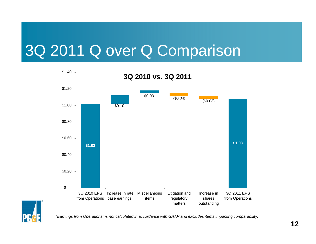### 3Q 2011 Q over Q Comparison





*"Earnings from Operations" is not calculated in accordance with GAAP and excludes items impacting comparability.*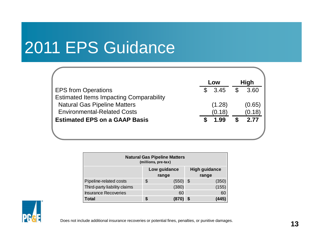# 2011 EPS Guidance

|            |     | <b>High</b> |
|------------|-----|-------------|
| \$<br>3.45 | \$  | 3.60        |
|            |     |             |
| (1.28)     |     | (0.65)      |
| (0.18)     |     | (0.18)      |
| 1.99       |     | 2.77        |
|            |     |             |
|            | Low |             |

| <b>Natural Gas Pipeline Matters</b><br>(millions, pre-tax) |   |          |  |       |  |
|------------------------------------------------------------|---|----------|--|-------|--|
| <b>High guidance</b><br>Low guidance<br>range<br>range     |   |          |  |       |  |
| Pipeline-related costs                                     | S | (550) \$ |  | (350) |  |
| Third-party liability claims                               |   | (380)    |  | (155) |  |
| <b>Insurance Recoveries</b>                                |   | 60       |  | 60    |  |
| <b>Total</b>                                               |   | (870     |  | (445) |  |



Does not include additional insurance recoveries or potential fines, penalties, or punitive damages.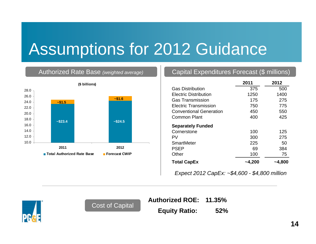### Assumptions for 2012 Guidance

#### Authorized Rate Base *(weighted average)*



#### Capital Expenditures Forecast (\$ millions)

|                                | 2011   | 2012   |
|--------------------------------|--------|--------|
| <b>Gas Distribution</b>        | 375    | 500    |
| Electric Distribution          | 1250   | 1400   |
| <b>Gas Transmission</b>        | 175    | 275    |
| Electric Transmission          | 750    | 775    |
| <b>Conventional Generation</b> | 450    | 550    |
| Common Plant                   | 400    | 425    |
| <b>Separately Funded</b>       |        |        |
| Cornerstone                    | 100    | 125    |
| PV                             | 300    | 275    |
| SmartMeter                     | 225    | 50     |
| <b>PSEP</b>                    | 69     | 384    |
| Other                          | 100    | 75     |
| <b>Total CapEx</b>             | ~4,200 | ~4,800 |

*Expect 2012 CapEx: ~\$4,600 - \$4,800 million*



**Authorized ROE: 11.35%**

Cost of Capital **Equity Ratio:** 52%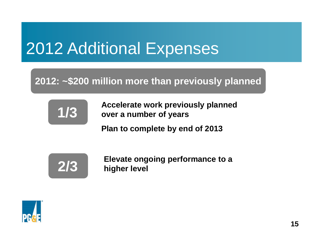# 2012 Additional Expenses

### **2012: ~\$200 million more than previously planned**



**Accelerate work previously planned over a number of years**

**Plan to complete by end of 2013**



**Elevate ongoing performance to a 2/3 higher level**

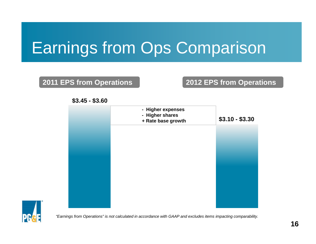# Earnings from Ops Comparison

#### **2011 EPS from Operations 2012 EPS from Operations**

#### **\$3.45 - \$3.60**

| - Higher expenses<br>- Higher shares<br>+ Rate base growth | $$3.10 - $3.30$ |
|------------------------------------------------------------|-----------------|
|                                                            |                 |
|                                                            |                 |
|                                                            |                 |
|                                                            |                 |



*"Earnings from Operations" is not calculated in accordance with GAAP and excludes items impacting comparability.*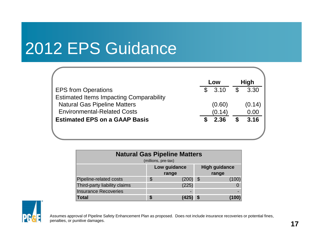# 2012 EPS Guidance

|                                                | Low    |                | <b>High</b> |
|------------------------------------------------|--------|----------------|-------------|
| <b>EPS from Operations</b>                     | \$3.10 | $\mathfrak{L}$ | 3.30        |
| <b>Estimated Items Impacting Comparability</b> |        |                |             |
| <b>Natural Gas Pipeline Matters</b>            | (0.60) |                | (0.14)      |
| <b>Environmental-Related Costs</b>             | (0.14) |                | 0.00        |
| <b>Estimated EPS on a GAAP Basis</b>           | 2.36   |                | 3.16        |
|                                                |        |                |             |
|                                                |        |                |             |

| <b>Natural Gas Pipeline Matters</b><br>(millions, pre-tax) |    |            |  |       |  |
|------------------------------------------------------------|----|------------|--|-------|--|
| Low guidance<br><b>High guidance</b><br>range<br>range     |    |            |  |       |  |
| Pipeline-related costs                                     | \$ | $(200)$ \$ |  | (100) |  |
| Third-party liability claims                               |    | (225)      |  |       |  |
| <b>Insurance Recoveries</b>                                |    |            |  |       |  |
| <b>Total</b>                                               | \$ |            |  | (100  |  |



Assumes approval of Pipeline Safety Enhancement Plan as proposed. Does not include insurance recoveries or potential fines, penalties, or punitive damages.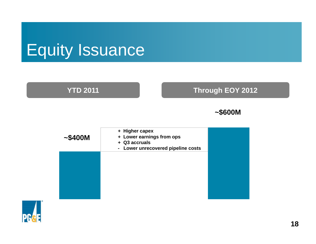# Equity Issuance

#### **YTD 2011**

#### **Through EOY 2012**

#### **~\$600M**

| ~100M | + Higher capex<br>+ Lower earnings from ops<br>+ Q3 accruals<br>Lower unrecovered pipeline costs<br>$\blacksquare$ |  |
|-------|--------------------------------------------------------------------------------------------------------------------|--|
|       |                                                                                                                    |  |
|       |                                                                                                                    |  |
|       |                                                                                                                    |  |